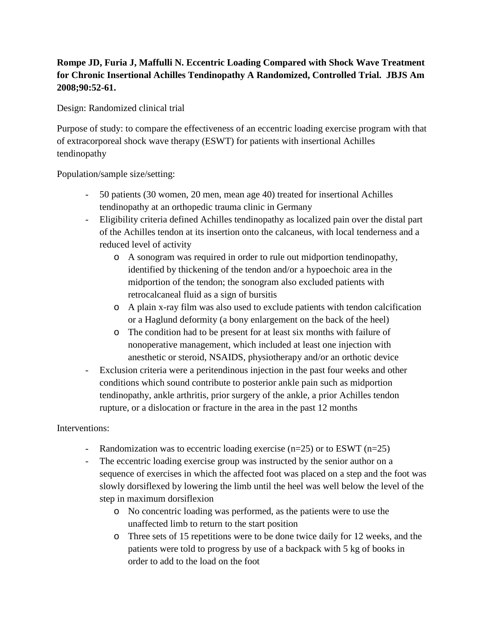# **Rompe JD, Furia J, Maffulli N. Eccentric Loading Compared with Shock Wave Treatment for Chronic Insertional Achilles Tendinopathy A Randomized, Controlled Trial. JBJS Am 2008;90:52-61.**

Design: Randomized clinical trial

Purpose of study: to compare the effectiveness of an eccentric loading exercise program with that of extracorporeal shock wave therapy (ESWT) for patients with insertional Achilles tendinopathy

Population/sample size/setting:

- 50 patients (30 women, 20 men, mean age 40) treated for insertional Achilles tendinopathy at an orthopedic trauma clinic in Germany
- Eligibility criteria defined Achilles tendinopathy as localized pain over the distal part of the Achilles tendon at its insertion onto the calcaneus, with local tenderness and a reduced level of activity
	- o A sonogram was required in order to rule out midportion tendinopathy, identified by thickening of the tendon and/or a hypoechoic area in the midportion of the tendon; the sonogram also excluded patients with retrocalcaneal fluid as a sign of bursitis
	- o A plain x-ray film was also used to exclude patients with tendon calcification or a Haglund deformity (a bony enlargement on the back of the heel)
	- o The condition had to be present for at least six months with failure of nonoperative management, which included at least one injection with anesthetic or steroid, NSAIDS, physiotherapy and/or an orthotic device
- Exclusion criteria were a peritendinous injection in the past four weeks and other conditions which sound contribute to posterior ankle pain such as midportion tendinopathy, ankle arthritis, prior surgery of the ankle, a prior Achilles tendon rupture, or a dislocation or fracture in the area in the past 12 months

## Interventions:

- Randomization was to eccentric loading exercise ( $n=25$ ) or to ESWT ( $n=25$ )
- The eccentric loading exercise group was instructed by the senior author on a sequence of exercises in which the affected foot was placed on a step and the foot was slowly dorsiflexed by lowering the limb until the heel was well below the level of the step in maximum dorsiflexion
	- o No concentric loading was performed, as the patients were to use the unaffected limb to return to the start position
	- o Three sets of 15 repetitions were to be done twice daily for 12 weeks, and the patients were told to progress by use of a backpack with 5 kg of books in order to add to the load on the foot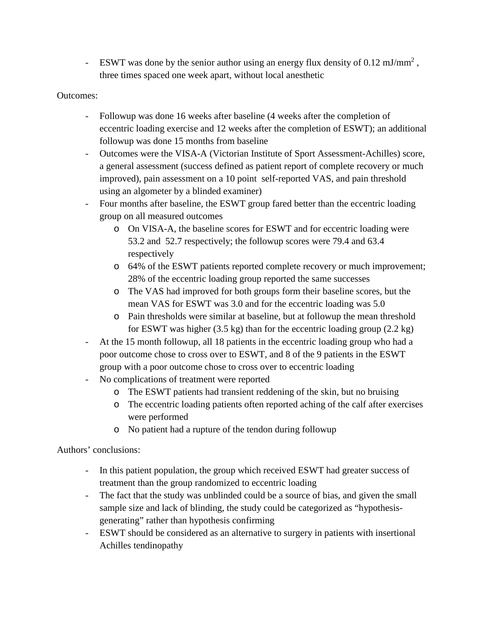- ESWT was done by the senior author using an energy flux density of  $0.12 \text{ mJ/mm}^2$ , three times spaced one week apart, without local anesthetic

### Outcomes:

- Followup was done 16 weeks after baseline (4 weeks after the completion of eccentric loading exercise and 12 weeks after the completion of ESWT); an additional followup was done 15 months from baseline
- Outcomes were the VISA-A (Victorian Institute of Sport Assessment-Achilles) score, a general assessment (success defined as patient report of complete recovery or much improved), pain assessment on a 10 point self-reported VAS, and pain threshold using an algometer by a blinded examiner)
- Four months after baseline, the ESWT group fared better than the eccentric loading group on all measured outcomes
	- o On VISA-A, the baseline scores for ESWT and for eccentric loading were 53.2 and 52.7 respectively; the followup scores were 79.4 and 63.4 respectively
	- o 64% of the ESWT patients reported complete recovery or much improvement; 28% of the eccentric loading group reported the same successes
	- o The VAS had improved for both groups form their baseline scores, but the mean VAS for ESWT was 3.0 and for the eccentric loading was 5.0
	- o Pain thresholds were similar at baseline, but at followup the mean threshold for ESWT was higher  $(3.5 \text{ kg})$  than for the eccentric loading group  $(2.2 \text{ kg})$
- At the 15 month followup, all 18 patients in the eccentric loading group who had a poor outcome chose to cross over to ESWT, and 8 of the 9 patients in the ESWT group with a poor outcome chose to cross over to eccentric loading
- No complications of treatment were reported
	- o The ESWT patients had transient reddening of the skin, but no bruising
	- o The eccentric loading patients often reported aching of the calf after exercises were performed
	- o No patient had a rupture of the tendon during followup

## Authors' conclusions:

- In this patient population, the group which received ESWT had greater success of treatment than the group randomized to eccentric loading
- The fact that the study was unblinded could be a source of bias, and given the small sample size and lack of blinding, the study could be categorized as "hypothesisgenerating" rather than hypothesis confirming
- ESWT should be considered as an alternative to surgery in patients with insertional Achilles tendinopathy